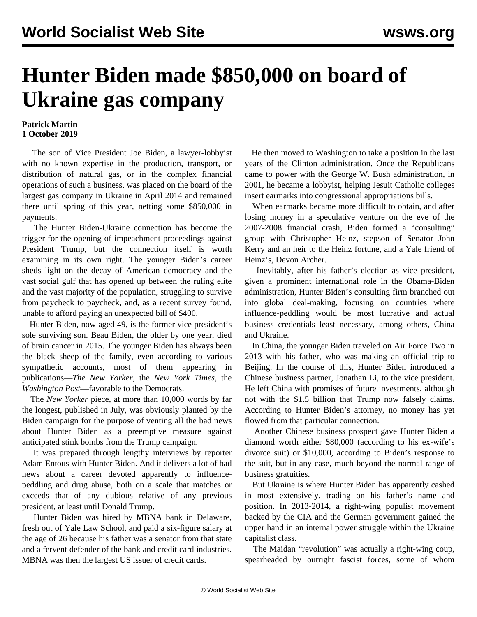## **Hunter Biden made \$850,000 on board of Ukraine gas company**

## **Patrick Martin 1 October 2019**

 The son of Vice President Joe Biden, a lawyer-lobbyist with no known expertise in the production, transport, or distribution of natural gas, or in the complex financial operations of such a business, was placed on the board of the largest gas company in Ukraine in April 2014 and remained there until spring of this year, netting some \$850,000 in payments.

 The Hunter Biden-Ukraine connection has become the trigger for the opening of impeachment proceedings against President Trump, but the connection itself is worth examining in its own right. The younger Biden's career sheds light on the decay of American democracy and the vast social gulf that has opened up between the ruling elite and the vast majority of the population, struggling to survive from paycheck to paycheck, and, as a recent survey found, unable to afford paying an unexpected bill of \$400.

 Hunter Biden, now aged 49, is the former vice president's sole surviving son. Beau Biden, the older by one year, died of brain cancer in 2015. The younger Biden has always been the black sheep of the family, even according to various sympathetic accounts, most of them appearing in publications—*The New Yorker*, the *New York Times*, the *Washington Post*—favorable to the Democrats.

 The *New Yorker* piece, at more than 10,000 words by far the longest, published in July, was obviously planted by the Biden campaign for the purpose of venting all the bad news about Hunter Biden as a preemptive measure against anticipated stink bombs from the Trump campaign.

 It was prepared through lengthy interviews by reporter Adam Entous with Hunter Biden. And it delivers a lot of bad news about a career devoted apparently to influencepeddling and drug abuse, both on a scale that matches or exceeds that of any dubious relative of any previous president, at least until Donald Trump.

 Hunter Biden was hired by MBNA bank in Delaware, fresh out of Yale Law School, and paid a six-figure salary at the age of 26 because his father was a senator from that state and a fervent defender of the bank and credit card industries. MBNA was then the largest US issuer of credit cards.

 He then moved to Washington to take a position in the last years of the Clinton administration. Once the Republicans came to power with the George W. Bush administration, in 2001, he became a lobbyist, helping Jesuit Catholic colleges insert earmarks into congressional appropriations bills.

 When earmarks became more difficult to obtain, and after losing money in a speculative venture on the eve of the 2007-2008 financial crash, Biden formed a "consulting" group with Christopher Heinz, stepson of Senator John Kerry and an heir to the Heinz fortune, and a Yale friend of Heinz's, Devon Archer.

 Inevitably, after his father's election as vice president, given a prominent international role in the Obama-Biden administration, Hunter Biden's consulting firm branched out into global deal-making, focusing on countries where influence-peddling would be most lucrative and actual business credentials least necessary, among others, China and Ukraine.

 In China, the younger Biden traveled on Air Force Two in 2013 with his father, who was making an official trip to Beijing. In the course of this, Hunter Biden introduced a Chinese business partner, Jonathan Li, to the vice president. He left China with promises of future investments, although not with the \$1.5 billion that Trump now falsely claims. According to Hunter Biden's attorney, no money has yet flowed from that particular connection.

 Another Chinese business prospect gave Hunter Biden a diamond worth either \$80,000 (according to his ex-wife's divorce suit) or \$10,000, according to Biden's response to the suit, but in any case, much beyond the normal range of business gratuities.

 But Ukraine is where Hunter Biden has apparently cashed in most extensively, trading on his father's name and position. In 2013-2014, a right-wing populist movement backed by the CIA and the German government gained the upper hand in an internal power struggle within the Ukraine capitalist class.

 The Maidan "revolution" was actually a right-wing coup, spearheaded by outright fascist forces, some of whom